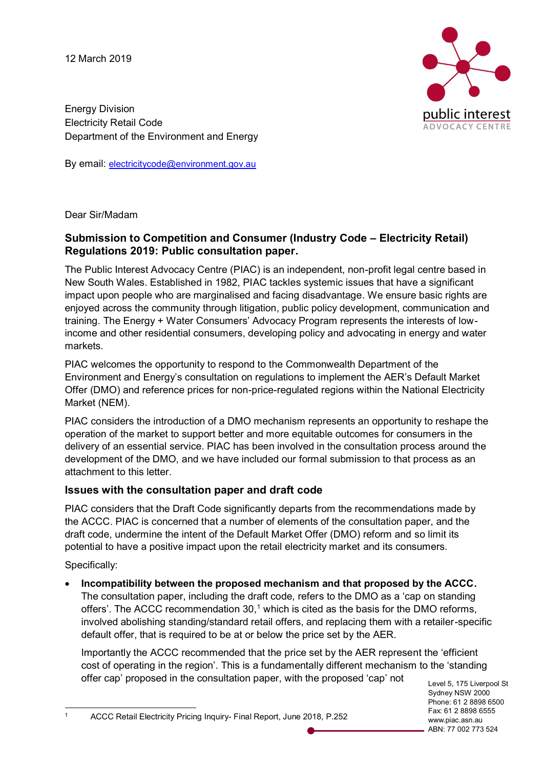12 March 2019



Energy Division Electricity Retail Code Department of the Environment and Energy

By email: electricitycode@environment.gov.au

Dear Sir/Madam

# **Submission to Competition and Consumer (Industry Code – Electricity Retail) Regulations 2019: Public consultation paper.**

The Public Interest Advocacy Centre (PIAC) is an independent, non-profit legal centre based in New South Wales. Established in 1982, PIAC tackles systemic issues that have a significant impact upon people who are marginalised and facing disadvantage. We ensure basic rights are enjoyed across the community through litigation, public policy development, communication and training. The Energy + Water Consumers' Advocacy Program represents the interests of lowincome and other residential consumers, developing policy and advocating in energy and water markets.

PIAC welcomes the opportunity to respond to the Commonwealth Department of the Environment and Energy's consultation on regulations to implement the AER's Default Market Offer (DMO) and reference prices for non-price-regulated regions within the National Electricity Market (NEM).

PIAC considers the introduction of a DMO mechanism represents an opportunity to reshape the operation of the market to support better and more equitable outcomes for consumers in the delivery of an essential service. PIAC has been involved in the consultation process around the development of the DMO, and we have included our formal submission to that process as an attachment to this letter.

## **Issues with the consultation paper and draft code**

PIAC considers that the Draft Code significantly departs from the recommendations made by the ACCC. PIAC is concerned that a number of elements of the consultation paper, and the draft code, undermine the intent of the Default Market Offer (DMO) reform and so limit its potential to have a positive impact upon the retail electricity market and its consumers.

Specifically:

• **Incompatibility between the proposed mechanism and that proposed by the ACCC.** The consultation paper, including the draft code, refers to the DMO as a 'cap on standing offers'. The ACCC recommendation 30,<sup>1</sup> which is cited as the basis for the DMO reforms, involved abolishing standing/standard retail offers, and replacing them with a retailer-specific default offer, that is required to be at or below the price set by the AER.

Importantly the ACCC recommended that the price set by the AER represent the 'efficient cost of operating in the region'. This is a fundamentally different mechanism to the 'standing offer cap' proposed in the consultation paper, with the proposed 'cap' not

Level 5, 175 Liverpool St Sydney NSW 2000 Phone: 61 2 8898 6500 Fax: 61 2 8898 6555 www.piac.asn.au ABN: 77 002 773 524

1 ACCC Retail Electricity Pricing Inquiry- Final Report, June 2018, P.252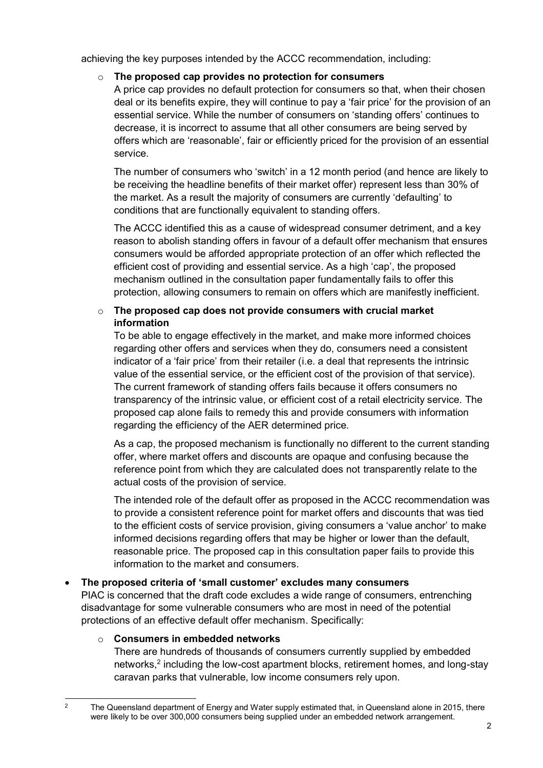achieving the key purposes intended by the ACCC recommendation, including:

## o **The proposed cap provides no protection for consumers**

A price cap provides no default protection for consumers so that, when their chosen deal or its benefits expire, they will continue to pay a 'fair price' for the provision of an essential service. While the number of consumers on 'standing offers' continues to decrease, it is incorrect to assume that all other consumers are being served by offers which are 'reasonable', fair or efficiently priced for the provision of an essential service.

The number of consumers who 'switch' in a 12 month period (and hence are likely to be receiving the headline benefits of their market offer) represent less than 30% of the market. As a result the majority of consumers are currently 'defaulting' to conditions that are functionally equivalent to standing offers.

The ACCC identified this as a cause of widespread consumer detriment, and a key reason to abolish standing offers in favour of a default offer mechanism that ensures consumers would be afforded appropriate protection of an offer which reflected the efficient cost of providing and essential service. As a high 'cap', the proposed mechanism outlined in the consultation paper fundamentally fails to offer this protection, allowing consumers to remain on offers which are manifestly inefficient.

## o **The proposed cap does not provide consumers with crucial market information**

To be able to engage effectively in the market, and make more informed choices regarding other offers and services when they do, consumers need a consistent indicator of a 'fair price' from their retailer (i.e. a deal that represents the intrinsic value of the essential service, or the efficient cost of the provision of that service). The current framework of standing offers fails because it offers consumers no transparency of the intrinsic value, or efficient cost of a retail electricity service. The proposed cap alone fails to remedy this and provide consumers with information regarding the efficiency of the AER determined price.

As a cap, the proposed mechanism is functionally no different to the current standing offer, where market offers and discounts are opaque and confusing because the reference point from which they are calculated does not transparently relate to the actual costs of the provision of service.

The intended role of the default offer as proposed in the ACCC recommendation was to provide a consistent reference point for market offers and discounts that was tied to the efficient costs of service provision, giving consumers a 'value anchor' to make informed decisions regarding offers that may be higher or lower than the default, reasonable price. The proposed cap in this consultation paper fails to provide this information to the market and consumers.

## • **The proposed criteria of 'small customer' excludes many consumers**

PIAC is concerned that the draft code excludes a wide range of consumers, entrenching disadvantage for some vulnerable consumers who are most in need of the potential protections of an effective default offer mechanism. Specifically:

## o **Consumers in embedded networks**

There are hundreds of thousands of consumers currently supplied by embedded networks, <sup>2</sup> including the low-cost apartment blocks, retirement homes, and long-stay caravan parks that vulnerable, low income consumers rely upon.

<sup>&</sup>lt;sup>2</sup> The Queensland department of Energy and Water supply estimated that, in Queensland alone in 2015, there were likely to be over 300,000 consumers being supplied under an embedded network arrangement.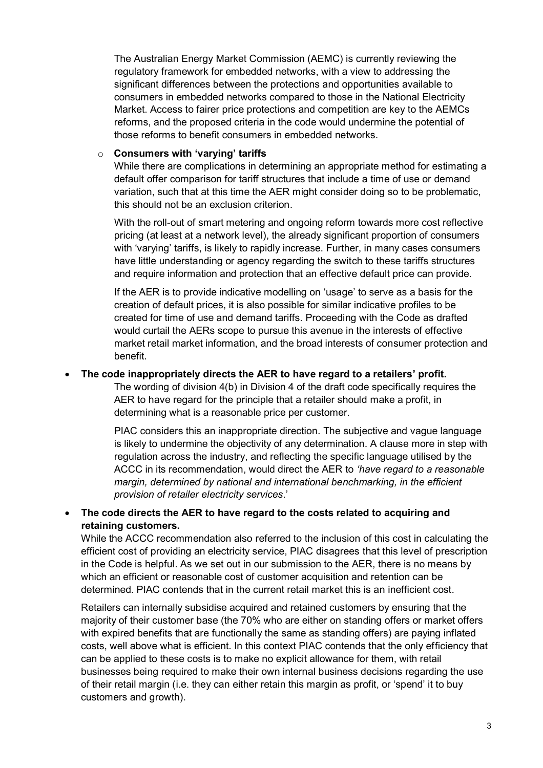The Australian Energy Market Commission (AEMC) is currently reviewing the regulatory framework for embedded networks, with a view to addressing the significant differences between the protections and opportunities available to consumers in embedded networks compared to those in the National Electricity Market. Access to fairer price protections and competition are key to the AEMCs reforms, and the proposed criteria in the code would undermine the potential of those reforms to benefit consumers in embedded networks.

#### o **Consumers with 'varying' tariffs**

While there are complications in determining an appropriate method for estimating a default offer comparison for tariff structures that include a time of use or demand variation, such that at this time the AER might consider doing so to be problematic, this should not be an exclusion criterion.

With the roll-out of smart metering and ongoing reform towards more cost reflective pricing (at least at a network level), the already significant proportion of consumers with 'varying' tariffs, is likely to rapidly increase. Further, in many cases consumers have little understanding or agency regarding the switch to these tariffs structures and require information and protection that an effective default price can provide.

If the AER is to provide indicative modelling on 'usage' to serve as a basis for the creation of default prices, it is also possible for similar indicative profiles to be created for time of use and demand tariffs. Proceeding with the Code as drafted would curtail the AERs scope to pursue this avenue in the interests of effective market retail market information, and the broad interests of consumer protection and benefit.

## • **The code inappropriately directs the AER to have regard to a retailers' profit.**

The wording of division 4(b) in Division 4 of the draft code specifically requires the AER to have regard for the principle that a retailer should make a profit, in determining what is a reasonable price per customer.

PIAC considers this an inappropriate direction. The subjective and vague language is likely to undermine the objectivity of any determination. A clause more in step with regulation across the industry, and reflecting the specific language utilised by the ACCC in its recommendation, would direct the AER to *'have regard to a reasonable margin, determined by national and international benchmarking, in the efficient provision of retailer electricity services*.'

## • **The code directs the AER to have regard to the costs related to acquiring and retaining customers.**

While the ACCC recommendation also referred to the inclusion of this cost in calculating the efficient cost of providing an electricity service, PIAC disagrees that this level of prescription in the Code is helpful. As we set out in our submission to the AER, there is no means by which an efficient or reasonable cost of customer acquisition and retention can be determined. PIAC contends that in the current retail market this is an inefficient cost.

Retailers can internally subsidise acquired and retained customers by ensuring that the majority of their customer base (the 70% who are either on standing offers or market offers with expired benefits that are functionally the same as standing offers) are paying inflated costs, well above what is efficient. In this context PIAC contends that the only efficiency that can be applied to these costs is to make no explicit allowance for them, with retail businesses being required to make their own internal business decisions regarding the use of their retail margin (i.e. they can either retain this margin as profit, or 'spend' it to buy customers and growth).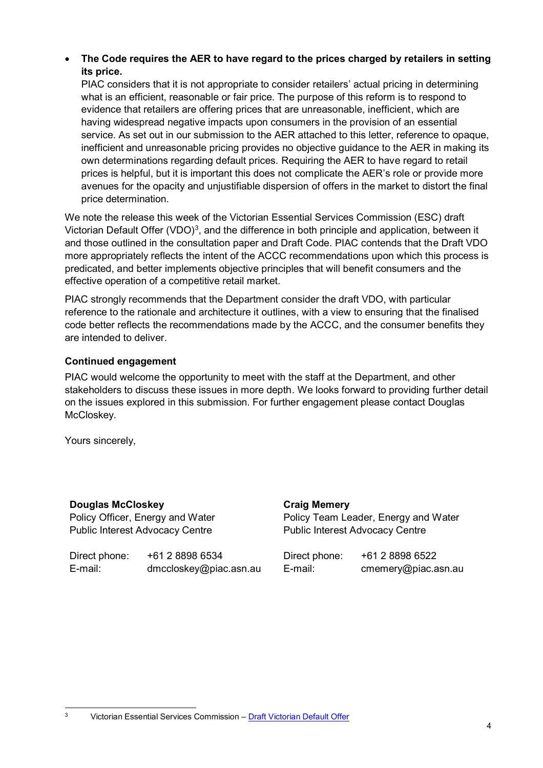• **The Code requires the AER to have regard to the prices charged by retailers in setting its price.**

PIAC considers that it is not appropriate to consider retailers' actual pricing in determining what is an efficient, reasonable or fair price. The purpose of this reform is to respond to evidence that retailers are offering prices that are unreasonable, inefficient, which are having widespread negative impacts upon consumers in the provision of an essential service. As set out in our submission to the AER attached to this letter, reference to opaque, inefficient and unreasonable pricing provides no objective guidance to the AER in making its own determinations regarding default prices. Requiring the AER to have regard to retail prices is helpful, but it is important this does not complicate the AER's role or provide more avenues for the opacity and unjustifiable dispersion of offers in the market to distort the final price determination.

We note the release this week of the Victorian Essential Services Commission (ESC) draft Victorian Default Offer (VDO)<sup>3</sup>, and the difference in both principle and application, between it and those outlined in the consultation paper and Draft Code. PIAC contends that the Draft VDO more appropriately reflects the intent of the ACCC recommendations upon which this process is predicated, and better implements objective principles that will benefit consumers and the effective operation of a competitive retail market.

PIAC strongly recommends that the Department consider the draft VDO, with particular reference to the rationale and architecture it outlines, with a view to ensuring that the finalised code better reflects the recommendations made by the ACCC, and the consumer benefits they are intended to deliver.

## **Continued engagement**

PIAC would welcome the opportunity to meet with the staff at the Department, and other stakeholders to discuss these issues in more depth. We looks forward to providing further detail on the issues explored in this submission. For further engagement please contact Douglas McCloskev.

Yours sincerely,

## **Douglas McCloskey**

Policy Officer, Energy and Water Public Interest Advocacy Centre

Direct phone: +61 2 8898 6534 E-mail: dmccloskey@piac.asn.au

# **Craig Memery**

Policy Team Leader, Energy and Water Public Interest Advocacy Centre

| Direct phone: | +61 2 8898 6522     |
|---------------|---------------------|
| E-mail:       | cmemery@piac.asn.au |

 <sup>3</sup> Victorian Essential Services Commission – Draft Victorian Default Offer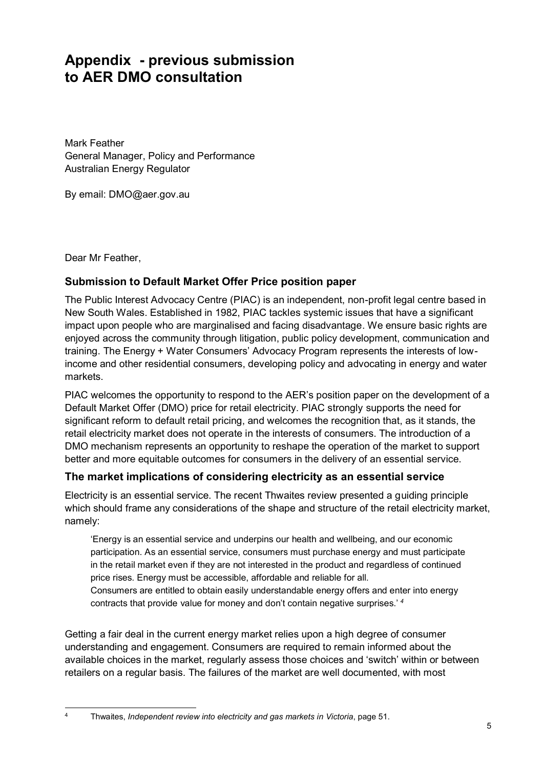# **Appendix - previous submission to AER DMO consultation**

Mark Feather General Manager, Policy and Performance Australian Energy Regulator

By email: DMO@aer.gov.au

Dear Mr Feather,

## **Submission to Default Market Offer Price position paper**

The Public Interest Advocacy Centre (PIAC) is an independent, non-profit legal centre based in New South Wales. Established in 1982, PIAC tackles systemic issues that have a significant impact upon people who are marginalised and facing disadvantage. We ensure basic rights are enjoyed across the community through litigation, public policy development, communication and training. The Energy + Water Consumers' Advocacy Program represents the interests of lowincome and other residential consumers, developing policy and advocating in energy and water markets.

PIAC welcomes the opportunity to respond to the AER's position paper on the development of a Default Market Offer (DMO) price for retail electricity. PIAC strongly supports the need for significant reform to default retail pricing, and welcomes the recognition that, as it stands, the retail electricity market does not operate in the interests of consumers. The introduction of a DMO mechanism represents an opportunity to reshape the operation of the market to support better and more equitable outcomes for consumers in the delivery of an essential service.

## **The market implications of considering electricity as an essential service**

Electricity is an essential service. The recent Thwaites review presented a guiding principle which should frame any considerations of the shape and structure of the retail electricity market, namely:

'Energy is an essential service and underpins our health and wellbeing, and our economic participation. As an essential service, consumers must purchase energy and must participate in the retail market even if they are not interested in the product and regardless of continued price rises. Energy must be accessible, affordable and reliable for all. Consumers are entitled to obtain easily understandable energy offers and enter into energy

contracts that provide value for money and don't contain negative surprises.' *<sup>4</sup>*

Getting a fair deal in the current energy market relies upon a high degree of consumer understanding and engagement. Consumers are required to remain informed about the available choices in the market, regularly assess those choices and 'switch' within or between retailers on a regular basis. The failures of the market are well documented, with most

 <sup>4</sup> Thwaites, *Independent review into electricity and gas markets in Victoria*, page 51.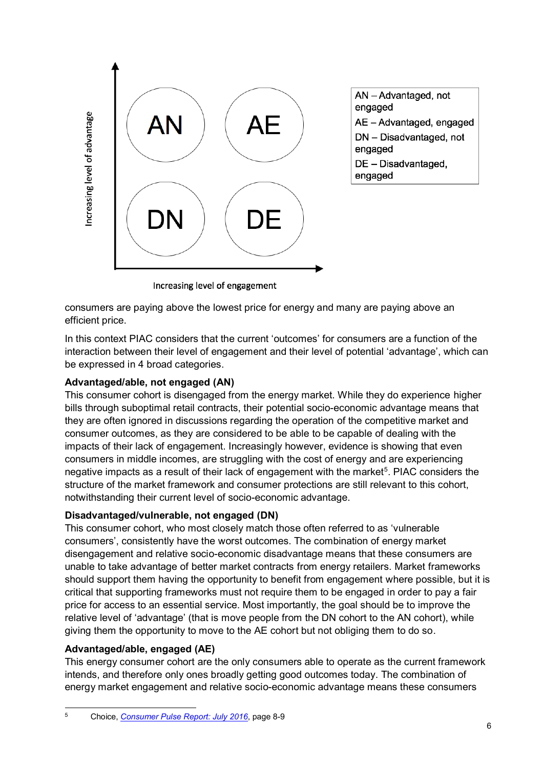

AN-Advantaged, not engaged AE - Advantaged, engaged DN - Disadvantaged, not engaged DE - Disadvantaged, engaged

Increasing level of engagement

consumers are paying above the lowest price for energy and many are paying above an efficient price.

In this context PIAC considers that the current 'outcomes' for consumers are a function of the interaction between their level of engagement and their level of potential 'advantage', which can be expressed in 4 broad categories.

## **Advantaged/able, not engaged (AN)**

This consumer cohort is disengaged from the energy market. While they do experience higher bills through suboptimal retail contracts, their potential socio-economic advantage means that they are often ignored in discussions regarding the operation of the competitive market and consumer outcomes, as they are considered to be able to be capable of dealing with the impacts of their lack of engagement. Increasingly however, evidence is showing that even consumers in middle incomes, are struggling with the cost of energy and are experiencing negative impacts as a result of their lack of engagement with the market<sup>5</sup>. PIAC considers the structure of the market framework and consumer protections are still relevant to this cohort, notwithstanding their current level of socio-economic advantage.

## **Disadvantaged/vulnerable, not engaged (DN)**

This consumer cohort, who most closely match those often referred to as 'vulnerable consumers', consistently have the worst outcomes. The combination of energy market disengagement and relative socio-economic disadvantage means that these consumers are unable to take advantage of better market contracts from energy retailers. Market frameworks should support them having the opportunity to benefit from engagement where possible, but it is critical that supporting frameworks must not require them to be engaged in order to pay a fair price for access to an essential service. Most importantly, the goal should be to improve the relative level of 'advantage' (that is move people from the DN cohort to the AN cohort), while giving them the opportunity to move to the AE cohort but not obliging them to do so.

## **Advantaged/able, engaged (AE)**

This energy consumer cohort are the only consumers able to operate as the current framework intends, and therefore only ones broadly getting good outcomes today. The combination of energy market engagement and relative socio-economic advantage means these consumers

 <sup>5</sup> Choice, *Consumer Pulse Report: July 2016*, page 8-9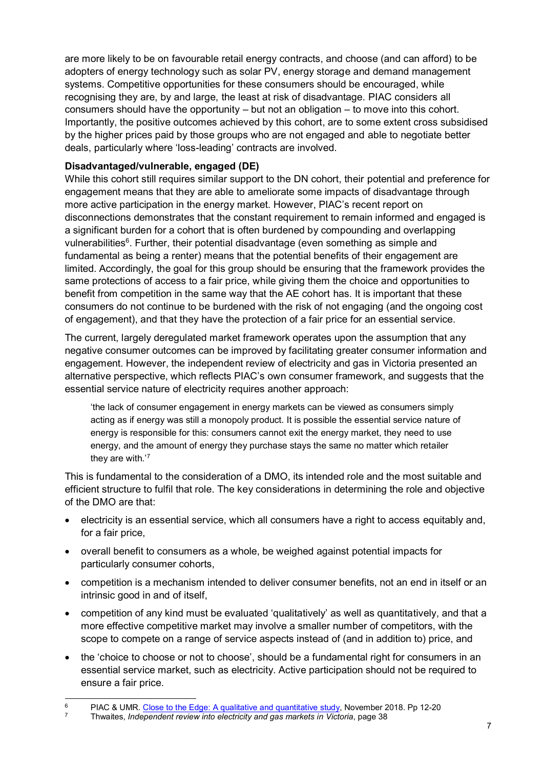are more likely to be on favourable retail energy contracts, and choose (and can afford) to be adopters of energy technology such as solar PV, energy storage and demand management systems. Competitive opportunities for these consumers should be encouraged, while recognising they are, by and large, the least at risk of disadvantage. PIAC considers all consumers should have the opportunity – but not an obligation – to move into this cohort. Importantly, the positive outcomes achieved by this cohort, are to some extent cross subsidised by the higher prices paid by those groups who are not engaged and able to negotiate better deals, particularly where 'loss-leading' contracts are involved.

# **Disadvantaged/vulnerable, engaged (DE)**

While this cohort still requires similar support to the DN cohort, their potential and preference for engagement means that they are able to ameliorate some impacts of disadvantage through more active participation in the energy market. However, PIAC's recent report on disconnections demonstrates that the constant requirement to remain informed and engaged is a significant burden for a cohort that is often burdened by compounding and overlapping vulnerabilities<sup>6</sup>. Further, their potential disadvantage (even something as simple and fundamental as being a renter) means that the potential benefits of their engagement are limited. Accordingly, the goal for this group should be ensuring that the framework provides the same protections of access to a fair price, while giving them the choice and opportunities to benefit from competition in the same way that the AE cohort has. It is important that these consumers do not continue to be burdened with the risk of not engaging (and the ongoing cost of engagement), and that they have the protection of a fair price for an essential service.

The current, largely deregulated market framework operates upon the assumption that any negative consumer outcomes can be improved by facilitating greater consumer information and engagement. However, the independent review of electricity and gas in Victoria presented an alternative perspective, which reflects PIAC's own consumer framework, and suggests that the essential service nature of electricity requires another approach:

'the lack of consumer engagement in energy markets can be viewed as consumers simply acting as if energy was still a monopoly product. It is possible the essential service nature of energy is responsible for this: consumers cannot exit the energy market, they need to use energy, and the amount of energy they purchase stays the same no matter which retailer they are with.'<sup>7</sup>

This is fundamental to the consideration of a DMO, its intended role and the most suitable and efficient structure to fulfil that role. The key considerations in determining the role and objective of the DMO are that:

- electricity is an essential service, which all consumers have a right to access equitably and, for a fair price,
- overall benefit to consumers as a whole, be weighed against potential impacts for particularly consumer cohorts,
- competition is a mechanism intended to deliver consumer benefits, not an end in itself or an intrinsic good in and of itself,
- competition of any kind must be evaluated 'qualitatively' as well as quantitatively, and that a more effective competitive market may involve a smaller number of competitors, with the scope to compete on a range of service aspects instead of (and in addition to) price, and
- the 'choice to choose or not to choose', should be a fundamental right for consumers in an essential service market, such as electricity. Active participation should not be required to ensure a fair price.

<sup>&</sup>lt;sup>6</sup> PIAC & UMR. Close to the Edge: A qualitative and quantitative study, November 2018. Pp 12-20<br><sup>7</sup> Physites *Independent review into electricity and gas markets in Victoria, page 38* 

<sup>7</sup> Thwaites, *Independent review into electricity and gas markets in Victoria*, page 38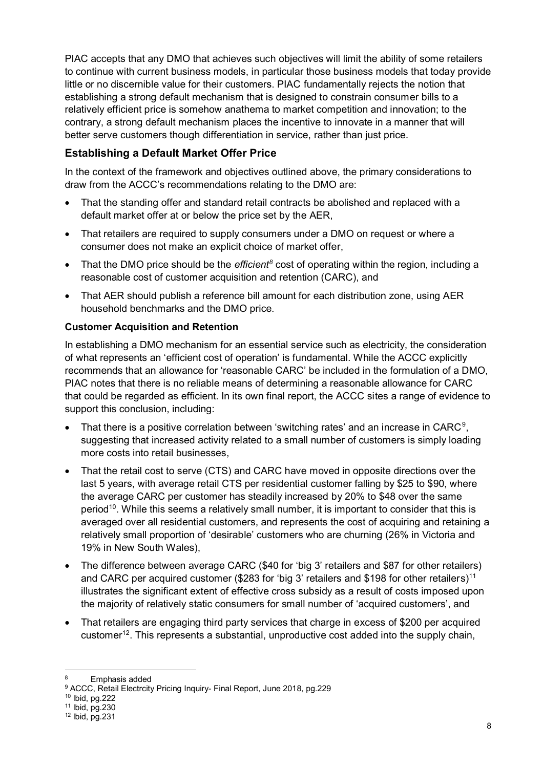PIAC accepts that any DMO that achieves such objectives will limit the ability of some retailers to continue with current business models, in particular those business models that today provide little or no discernible value for their customers. PIAC fundamentally rejects the notion that establishing a strong default mechanism that is designed to constrain consumer bills to a relatively efficient price is somehow anathema to market competition and innovation; to the contrary, a strong default mechanism places the incentive to innovate in a manner that will better serve customers though differentiation in service, rather than just price.

# **Establishing a Default Market Offer Price**

In the context of the framework and objectives outlined above, the primary considerations to draw from the ACCC's recommendations relating to the DMO are:

- That the standing offer and standard retail contracts be abolished and replaced with a default market offer at or below the price set by the AER,
- That retailers are required to supply consumers under a DMO on request or where a consumer does not make an explicit choice of market offer,
- That the DMO price should be the *efficient8* cost of operating within the region, including a reasonable cost of customer acquisition and retention (CARC), and
- That AER should publish a reference bill amount for each distribution zone, using AER household benchmarks and the DMO price.

## **Customer Acquisition and Retention**

In establishing a DMO mechanism for an essential service such as electricity, the consideration of what represents an 'efficient cost of operation' is fundamental. While the ACCC explicitly recommends that an allowance for 'reasonable CARC' be included in the formulation of a DMO, PIAC notes that there is no reliable means of determining a reasonable allowance for CARC that could be regarded as efficient. In its own final report, the ACCC sites a range of evidence to support this conclusion, including:

- That there is a positive correlation between 'switching rates' and an increase in CARC<sup>9</sup>, suggesting that increased activity related to a small number of customers is simply loading more costs into retail businesses,
- That the retail cost to serve (CTS) and CARC have moved in opposite directions over the last 5 years, with average retail CTS per residential customer falling by \$25 to \$90, where the average CARC per customer has steadily increased by 20% to \$48 over the same period<sup>10</sup>. While this seems a relatively small number, it is important to consider that this is averaged over all residential customers, and represents the cost of acquiring and retaining a relatively small proportion of 'desirable' customers who are churning (26% in Victoria and 19% in New South Wales),
- The difference between average CARC (\$40 for 'big 3' retailers and \$87 for other retailers) and CARC per acquired customer (\$283 for 'big 3' retailers and \$198 for other retailers)<sup>11</sup> illustrates the significant extent of effective cross subsidy as a result of costs imposed upon the majority of relatively static consumers for small number of 'acquired customers', and
- That retailers are engaging third party services that charge in excess of \$200 per acquired customer<sup>12</sup>. This represents a substantial, unproductive cost added into the supply chain,

Emphasis added

<sup>9</sup> ACCC, Retail Electrcity Pricing Inquiry- Final Report, June 2018, pg.229

<sup>10</sup> Ibid, pg.222

<sup>11</sup> Ibid, pg.230

 $12$  Ibid, pg. 231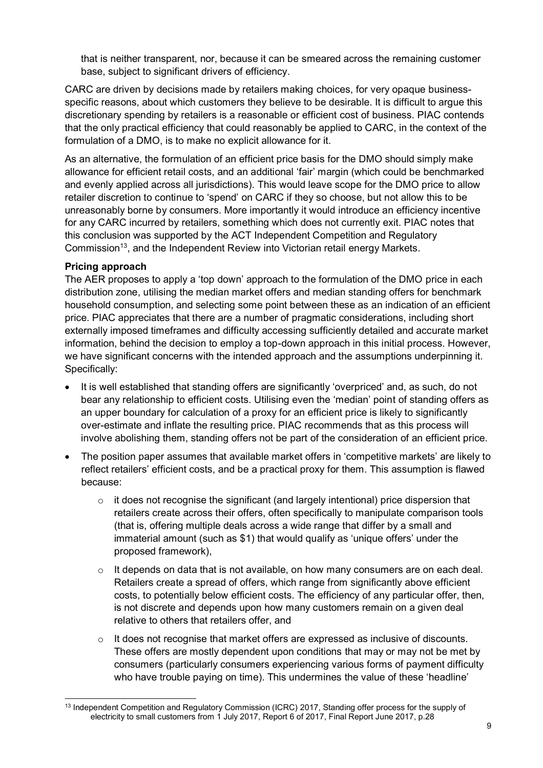that is neither transparent, nor, because it can be smeared across the remaining customer base, subject to significant drivers of efficiency.

CARC are driven by decisions made by retailers making choices, for very opaque businessspecific reasons, about which customers they believe to be desirable. It is difficult to argue this discretionary spending by retailers is a reasonable or efficient cost of business. PIAC contends that the only practical efficiency that could reasonably be applied to CARC, in the context of the formulation of a DMO, is to make no explicit allowance for it.

As an alternative, the formulation of an efficient price basis for the DMO should simply make allowance for efficient retail costs, and an additional 'fair' margin (which could be benchmarked and evenly applied across all jurisdictions). This would leave scope for the DMO price to allow retailer discretion to continue to 'spend' on CARC if they so choose, but not allow this to be unreasonably borne by consumers. More importantly it would introduce an efficiency incentive for any CARC incurred by retailers, something which does not currently exit. PIAC notes that this conclusion was supported by the ACT Independent Competition and Regulatory Commission<sup>13</sup>, and the Independent Review into Victorian retail energy Markets.

#### **Pricing approach**

The AER proposes to apply a 'top down' approach to the formulation of the DMO price in each distribution zone, utilising the median market offers and median standing offers for benchmark household consumption, and selecting some point between these as an indication of an efficient price. PIAC appreciates that there are a number of pragmatic considerations, including short externally imposed timeframes and difficulty accessing sufficiently detailed and accurate market information, behind the decision to employ a top-down approach in this initial process. However, we have significant concerns with the intended approach and the assumptions underpinning it. Specifically:

- It is well established that standing offers are significantly 'overpriced' and, as such, do not bear any relationship to efficient costs. Utilising even the 'median' point of standing offers as an upper boundary for calculation of a proxy for an efficient price is likely to significantly over-estimate and inflate the resulting price. PIAC recommends that as this process will involve abolishing them, standing offers not be part of the consideration of an efficient price.
- The position paper assumes that available market offers in 'competitive markets' are likely to reflect retailers' efficient costs, and be a practical proxy for them. This assumption is flawed because:
	- o it does not recognise the significant (and largely intentional) price dispersion that retailers create across their offers, often specifically to manipulate comparison tools (that is, offering multiple deals across a wide range that differ by a small and immaterial amount (such as \$1) that would qualify as 'unique offers' under the proposed framework),
	- $\circ$  It depends on data that is not available, on how many consumers are on each deal. Retailers create a spread of offers, which range from significantly above efficient costs, to potentially below efficient costs. The efficiency of any particular offer, then, is not discrete and depends upon how many customers remain on a given deal relative to others that retailers offer, and
	- $\circ$  It does not recognise that market offers are expressed as inclusive of discounts. These offers are mostly dependent upon conditions that may or may not be met by consumers (particularly consumers experiencing various forms of payment difficulty who have trouble paying on time). This undermines the value of these 'headline'

<sup>&</sup>lt;sup>13</sup> Independent Competition and Regulatory Commission (ICRC) 2017, Standing offer process for the supply of electricity to small customers from 1 July 2017, Report 6 of 2017, Final Report June 2017, p.28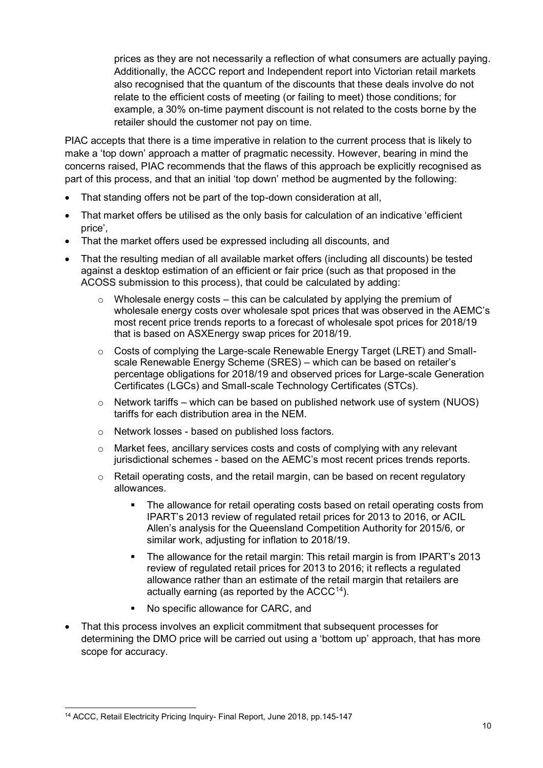prices as they are not necessarily a reflection of what consumers are actually paying. Additionally, the ACCC report and Independent report into Victorian retail markets also recognised that the quantum of the discounts that these deals involve do not relate to the efficient costs of meeting (or failing to meet) those conditions; for example, a 30% on-time payment discount is not related to the costs borne by the retailer should the customer not pay on time.

PIAC accepts that there is a time imperative in relation to the current process that is likely to make a 'top down' approach a matter of pragmatic necessity. However, bearing in mind the concerns raised, PIAC recommends that the flaws of this approach be explicitly recognised as part of this process, and that an initial 'top down' method be augmented by the following:

- That standing offers not be part of the top-down consideration at all,
- That market offers be utilised as the only basis for calculation of an indicative 'efficient price',
- That the market offers used be expressed including all discounts, and
- That the resulting median of all available market offers (including all discounts) be tested against a desktop estimation of an efficient or fair price (such as that proposed in the ACOSS submission to this process), that could be calculated by adding:
	- $\circ$  Wholesale energy costs this can be calculated by applying the premium of wholesale energy costs over wholesale spot prices that was observed in the AEMC's most recent price trends reports to a forecast of wholesale spot prices for 2018/19 that is based on ASXEnergy swap prices for 2018/19.
	- $\circ$  Costs of complying the Large-scale Renewable Energy Target (LRET) and Smallscale Renewable Energy Scheme (SRES) – which can be based on retailer's percentage obligations for 2018/19 and observed prices for Large-scale Generation Certificates (LGCs) and Small-scale Technology Certificates (STCs).
	- $\circ$  Network tariffs which can be based on published network use of system (NUOS) tariffs for each distribution area in the NEM.
	- o Network losses based on published loss factors.
	- $\circ$  Market fees, ancillary services costs and costs of complying with any relevant jurisdictional schemes - based on the AEMC's most recent prices trends reports.
	- $\circ$  Retail operating costs, and the retail margin, can be based on recent regulatory allowances.
		- The allowance for retail operating costs based on retail operating costs from IPART's 2013 review of regulated retail prices for 2013 to 2016, or ACIL Allen's analysis for the Queensland Competition Authority for 2015/6, or similar work, adjusting for inflation to 2018/19.
		- The allowance for the retail margin: This retail margin is from IPART's 2013 review of regulated retail prices for 2013 to 2016; it reflects a regulated allowance rather than an estimate of the retail margin that retailers are actually earning (as reported by the  $ACCC<sup>14</sup>$ ).
		- No specific allowance for CARC, and
- That this process involves an explicit commitment that subsequent processes for determining the DMO price will be carried out using a 'bottom up' approach, that has more scope for accuracy.

 <sup>14</sup> ACCC, Retail Electricity Pricing Inquiry- Final Report, June 2018, pp.145-147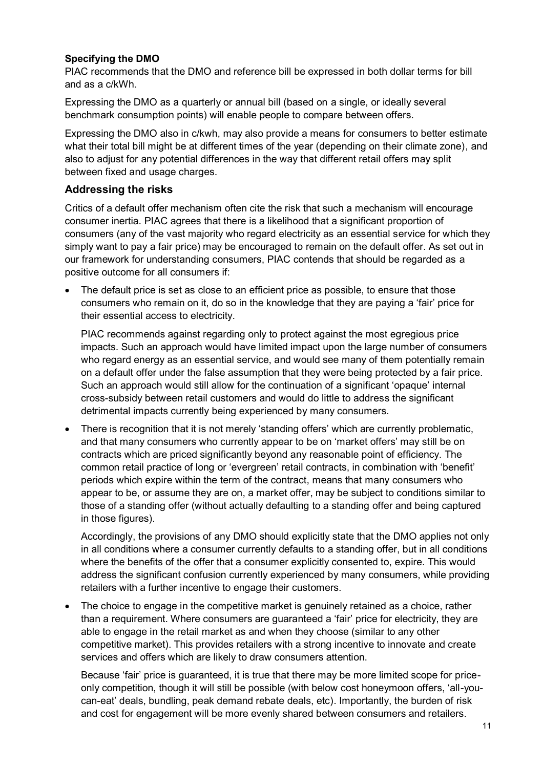## **Specifying the DMO**

PIAC recommends that the DMO and reference bill be expressed in both dollar terms for bill and as a c/kWh.

Expressing the DMO as a quarterly or annual bill (based on a single, or ideally several benchmark consumption points) will enable people to compare between offers.

Expressing the DMO also in c/kwh, may also provide a means for consumers to better estimate what their total bill might be at different times of the year (depending on their climate zone), and also to adjust for any potential differences in the way that different retail offers may split between fixed and usage charges.

## **Addressing the risks**

Critics of a default offer mechanism often cite the risk that such a mechanism will encourage consumer inertia. PIAC agrees that there is a likelihood that a significant proportion of consumers (any of the vast majority who regard electricity as an essential service for which they simply want to pay a fair price) may be encouraged to remain on the default offer. As set out in our framework for understanding consumers, PIAC contends that should be regarded as a positive outcome for all consumers if:

The default price is set as close to an efficient price as possible, to ensure that those consumers who remain on it, do so in the knowledge that they are paying a 'fair' price for their essential access to electricity.

PIAC recommends against regarding only to protect against the most egregious price impacts. Such an approach would have limited impact upon the large number of consumers who regard energy as an essential service, and would see many of them potentially remain on a default offer under the false assumption that they were being protected by a fair price. Such an approach would still allow for the continuation of a significant 'opaque' internal cross-subsidy between retail customers and would do little to address the significant detrimental impacts currently being experienced by many consumers.

• There is recognition that it is not merely 'standing offers' which are currently problematic, and that many consumers who currently appear to be on 'market offers' may still be on contracts which are priced significantly beyond any reasonable point of efficiency. The common retail practice of long or 'evergreen' retail contracts, in combination with 'benefit' periods which expire within the term of the contract, means that many consumers who appear to be, or assume they are on, a market offer, may be subject to conditions similar to those of a standing offer (without actually defaulting to a standing offer and being captured in those figures).

Accordingly, the provisions of any DMO should explicitly state that the DMO applies not only in all conditions where a consumer currently defaults to a standing offer, but in all conditions where the benefits of the offer that a consumer explicitly consented to, expire. This would address the significant confusion currently experienced by many consumers, while providing retailers with a further incentive to engage their customers.

• The choice to engage in the competitive market is genuinely retained as a choice, rather than a requirement. Where consumers are guaranteed a 'fair' price for electricity, they are able to engage in the retail market as and when they choose (similar to any other competitive market). This provides retailers with a strong incentive to innovate and create services and offers which are likely to draw consumers attention.

Because 'fair' price is guaranteed, it is true that there may be more limited scope for priceonly competition, though it will still be possible (with below cost honeymoon offers, 'all-youcan-eat' deals, bundling, peak demand rebate deals, etc). Importantly, the burden of risk and cost for engagement will be more evenly shared between consumers and retailers.